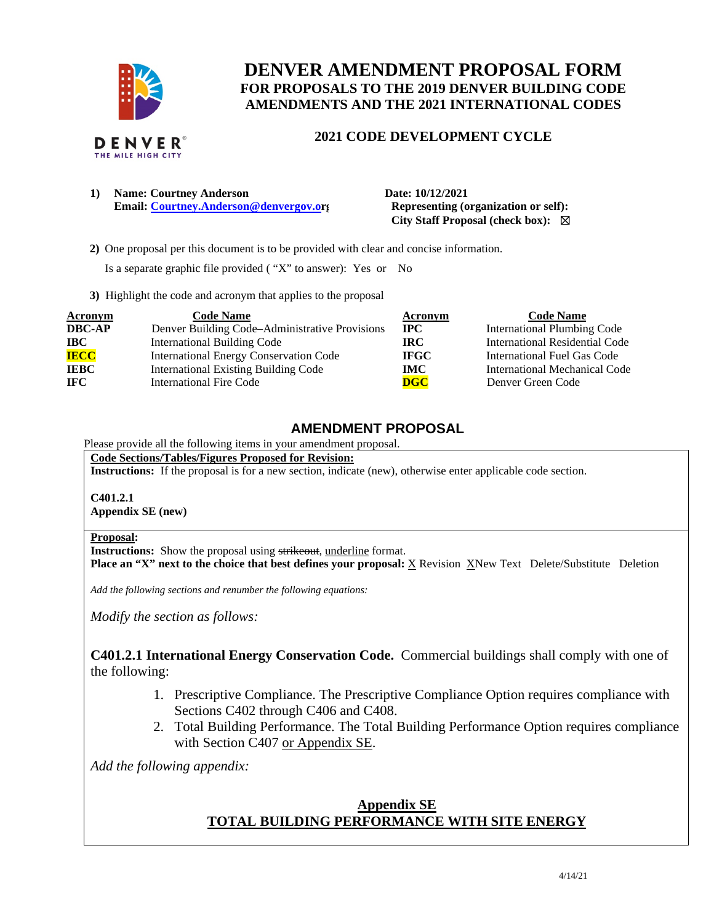

# **DENVER AMENDMENT PROPOSAL FORM FOR PROPOSALS TO THE 2019 DENVER BUILDING CODE AMENDMENTS AND THE 2021 INTERNATIONAL CODES**

## **2021 CODE DEVELOPMENT CYCLE**

**1) Name: Courtney Anderson Date: 10/12/2021 Email:** [Courtney.Anderson@denvergov.or](mailto:Courtney.Anderson@denvergov.o)**g** Representing (organization or self):

 **City Staff Proposal (check box):** ☒

 **2)** One proposal per this document is to be provided with clear and concise information.

Is a separate graphic file provided ( "X" to answer): Yes or No

**3)** Highlight the code and acronym that applies to the proposal

| <b>Acronym</b> | <b>Code Name</b>                               | Acronym      | <b>Code Name</b>                   |
|----------------|------------------------------------------------|--------------|------------------------------------|
| <b>DBC-AP</b>  | Denver Building Code–Administrative Provisions | $_{\rm IPC}$ | <b>International Plumbing Code</b> |
| $\bf IBC$      | <b>International Building Code</b>             | <b>IRC</b>   | International Residential Code     |
| <b>IECC</b>    | International Energy Conservation Code         | <b>IFGC</b>  | International Fuel Gas Code        |
| <b>IEBC</b>    | <b>International Existing Building Code</b>    | <b>IMC</b>   | International Mechanical Code      |
| <b>IFC</b>     | International Fire Code                        | <b>DGC</b>   | Denver Green Code                  |

## **AMENDMENT PROPOSAL**

## Please provide all the following items in your amendment proposal.

**Code Sections/Tables/Figures Proposed for Revision:** 

**Instructions:** If the proposal is for a new section, indicate (new), otherwise enter applicable code section.

**C401.2.1 Appendix SE (new)** 

#### **Proposal:**

**Instructions:** Show the proposal using strikeout, underline format.

**Place an "X" next to the choice that best defines your proposal: X Revision XNew Text Delete/Substitute Deletion** 

*Add the following sections and renumber the following equations:* 

*Modify the section as follows:* 

**C401.2.1 International Energy Conservation Code.** Commercial buildings shall comply with one of the following:

- 1. Prescriptive Compliance. The Prescriptive Compliance Option requires compliance with Sections C402 through C406 and C408.
- 2. Total Building Performance. The Total Building Performance Option requires compliance with Section C407 or Appendix SE.

*Add the following appendix:* 

# **Appendix SE TOTAL BUILDING PERFORMANCE WITH SITE ENERGY**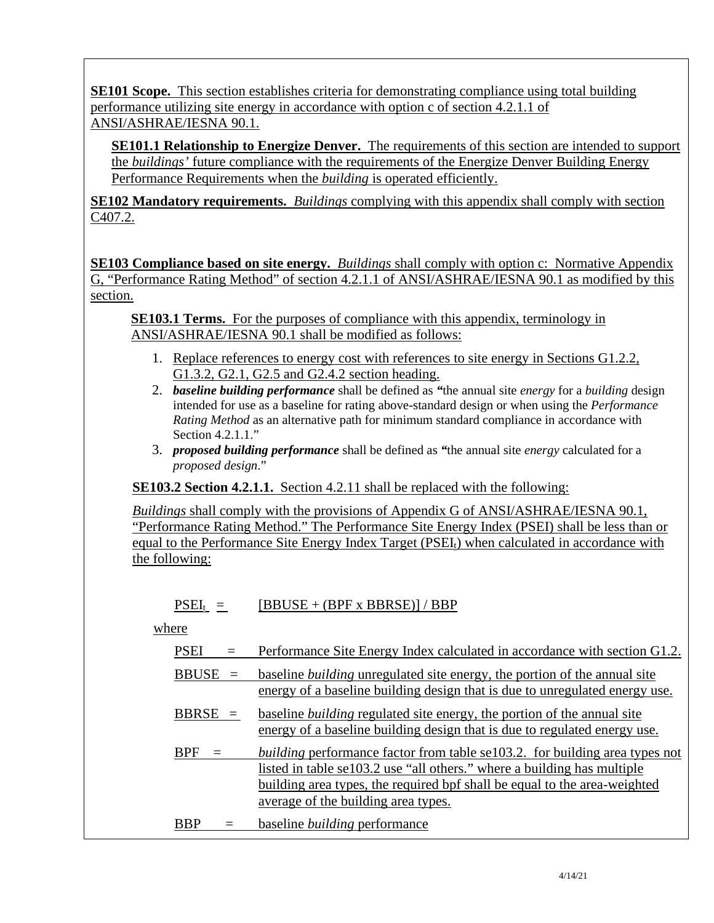**SE101 Scope.** This section establishes criteria for demonstrating compliance using total building performance utilizing site energy in accordance with option c of section 4.2.1.1 of ANSI/ASHRAE/IESNA 90.1.

**SE101.1 Relationship to Energize Denver.** The requirements of this section are intended to support the *buildings'* future compliance with the requirements of the Energize Denver Building Energy Performance Requirements when the *building* is operated efficiently.

**SE102 Mandatory requirements.** *Buildings* complying with this appendix shall comply with section C407.2.

**SE103 Compliance based on site energy.** *Buildings* shall comply with option c: Normative Appendix G, "Performance Rating Method" of section 4.2.1.1 of ANSI/ASHRAE/IESNA 90.1 as modified by this section.

**SE103.1 Terms.** For the purposes of compliance with this appendix, terminology in ANSI/ASHRAE/IESNA 90.1 shall be modified as follows:

- 1. Replace references to energy cost with references to site energy in Sections G1.2.2, G1.3.2, G2.1, G2.5 and G2.4.2 section heading.
- 2. *baseline building performance* shall be defined as *"*the annual site *energy* for a *building* design intended for use as a baseline for rating above-standard design or when using the *Performance Rating Method* as an alternative path for minimum standard compliance in accordance with Section 4.2.1.1."
- 3. *proposed building performance* shall be defined as *"*the annual site *energy* calculated for a *proposed design*."

**SE103.2 Section 4.2.1.1.** Section 4.2.11 shall be replaced with the following:

*Buildings* shall comply with the provisions of Appendix G of ANSI/ASHRAE/IESNA 90.1, "Performance Rating Method." The Performance Site Energy Index (PSEI) shall be less than or equal to the Performance Site Energy Index Target (PSEI<sub>t</sub>) when calculated in accordance with the following:

 $PSEI_t$  = [BBUSE + (BPF x BBRSE)] / BBP

where

PSEI = Performance Site Energy Index calculated in accordance with section G1.2. BBUSE = baseline *building* unregulated site energy, the portion of the annual site energy of a baseline building design that is due to unregulated energy use. BBRSE = baseline *building* regulated site energy, the portion of the annual site energy of a baseline building design that is due to regulated energy use. BPF = *building* performance factor from table se103.2. for building area types not listed in table se103.2 use "all others." where a building has multiple building area types, the required bpf shall be equal to the area-weighted average of the building area types. BBP = baseline *building* performance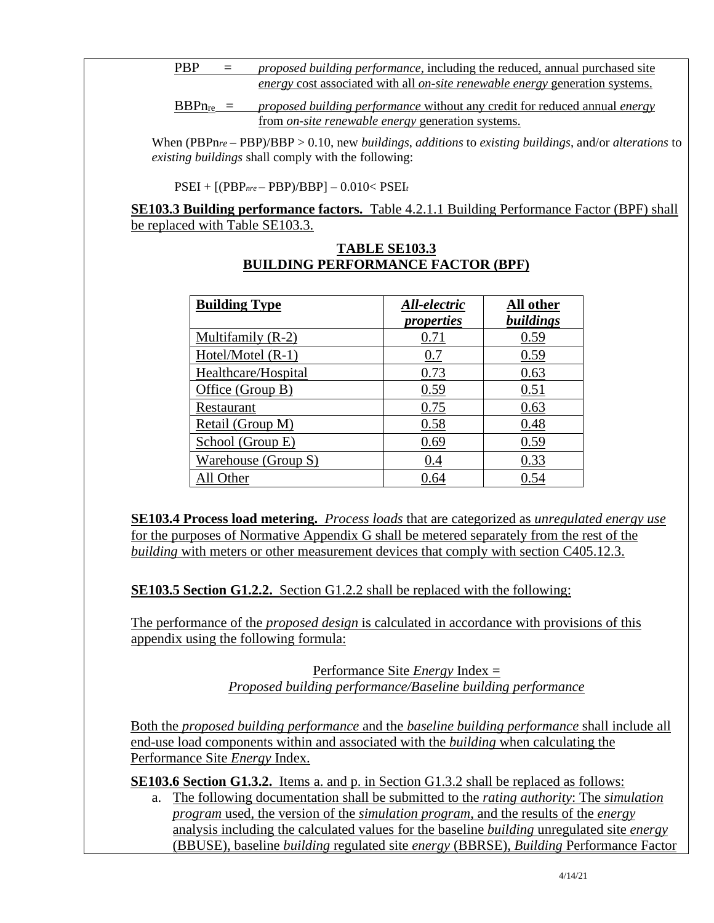| <b>PBP</b>                                                                                 | $\equiv$ | <i>proposed building performance</i> , including the reduced, annual purchased site |  |  |
|--------------------------------------------------------------------------------------------|----------|-------------------------------------------------------------------------------------|--|--|
| <i>energy</i> cost associated with all <i>on-site renewable energy</i> generation systems. |          |                                                                                     |  |  |

BBPnre = *proposed building performance* without any credit for reduced annual *energy*  from *on-site renewable energy* generation systems.

When (PBPn*re* – PBP)/BBP > 0.10, new *buildings*, *additions* to *existing buildings*, and/or *alterations* to *existing buildings* shall comply with the following:

PSEI + [(PBP*nre* – PBP)/BBP] – 0.010< PSEI*<sup>t</sup>*

**SE103.3 Building performance factors.** Table 4.2.1.1 Building Performance Factor (BPF) shall be replaced with Table SE103.3.

| <b>Building Type</b> | All-electric<br><i>properties</i> | All other<br>buildings |
|----------------------|-----------------------------------|------------------------|
| Multifamily (R-2)    | 0.71                              | 0.59                   |
| Hotel/Motel $(R-1)$  | 0.7                               | 0.59                   |
| Healthcare/Hospital  | 0.73                              | 0.63                   |
| Office (Group B)     | 0.59                              | 0.51                   |
| Restaurant           | 0.75                              | 0.63                   |
| Retail (Group M)     | 0.58                              | 0.48                   |
| School (Group E)     | 0.69                              | 0.59                   |
| Warehouse (Group S)  | 0.4                               | 0.33                   |
| All Other            | 0.64                              | 0.54                   |

### **TABLE SE103.3 BUILDING PERFORMANCE FACTOR (BPF)**

**SE103.4 Process load metering.** *Process loads* that are categorized as *unregulated energy use* for the purposes of Normative Appendix G shall be metered separately from the rest of the *building* with meters or other measurement devices that comply with section C405.12.3.

**SE103.5 Section G1.2.2.** Section G1.2.2 shall be replaced with the following:

The performance of the *proposed design* is calculated in accordance with provisions of this appendix using the following formula:

> Performance Site *Energy* Index = *Proposed building performance/Baseline building performance*

Both the *proposed building performance* and the *baseline building performance* shall include all end-use load components within and associated with the *building* when calculating the Performance Site *Energy* Index.

**SE103.6 Section G1.3.2.** Items a. and p. in Section G1.3.2 shall be replaced as follows:

a. The following documentation shall be submitted to the *rating authority*: The *simulation program* used, the version of the *simulation program*, and the results of the *energy*  analysis including the calculated values for the baseline *building* unregulated site *energy*  (BBUSE), baseline *building* regulated site *energy* (BBRSE), *Building* Performance Factor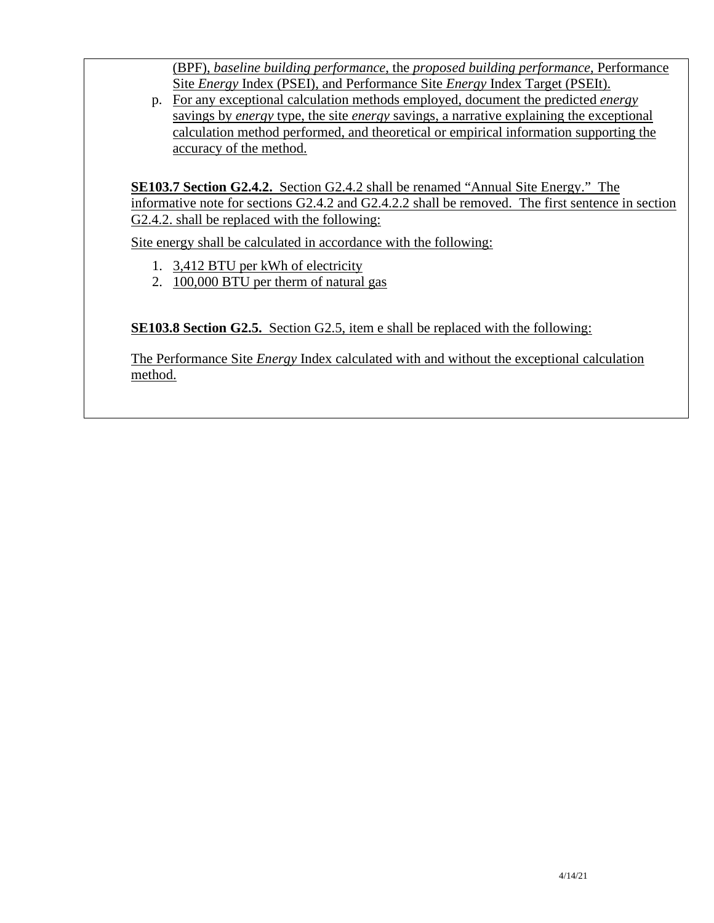(BPF), *baseline building performance*, the *proposed building performance*, Performance Site *Energy* Index (PSEI), and Performance Site *Energy* Index Target (PSEIt).

p. For any exceptional calculation methods employed, document the predicted *energy*  savings by *energy* type, the site *energy* savings, a narrative explaining the exceptional calculation method performed, and theoretical or empirical information supporting the accuracy of the method.

**SE103.7 Section G2.4.2.** Section G2.4.2 shall be renamed "Annual Site Energy." The informative note for sections G2.4.2 and G2.4.2.2 shall be removed. The first sentence in section G2.4.2. shall be replaced with the following:

Site energy shall be calculated in accordance with the following:

- 1. 3,412 BTU per kWh of electricity
- 2. 100,000 BTU per therm of natural gas

**SE103.8 Section G2.5.** Section G2.5, item e shall be replaced with the following:

The Performance Site *Energy* Index calculated with and without the exceptional calculation method.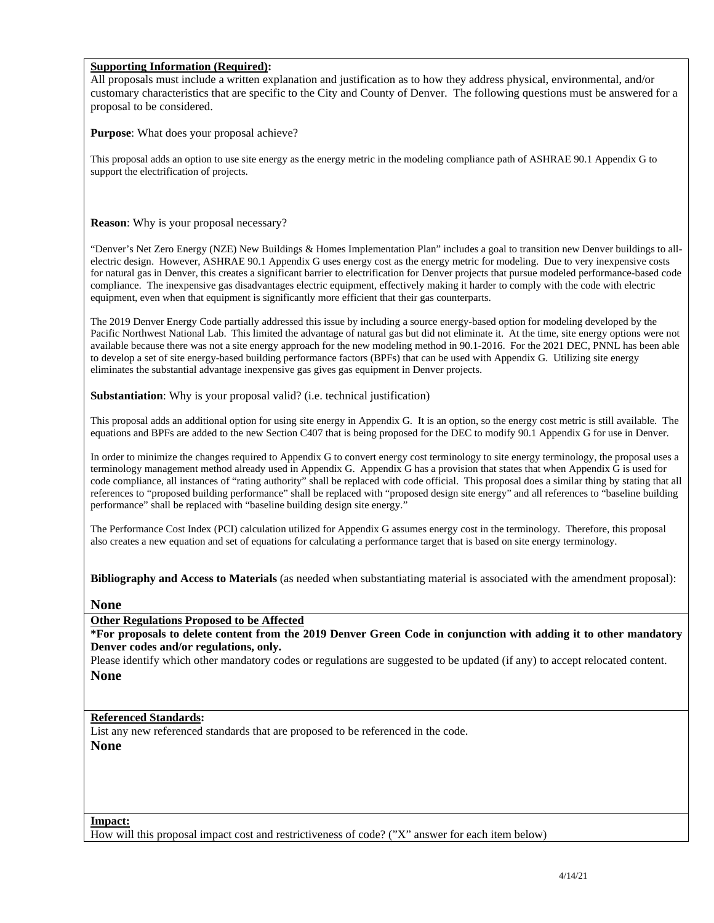#### **Supporting Information (Required):**

All proposals must include a written explanation and justification as to how they address physical, environmental, and/or customary characteristics that are specific to the City and County of Denver. The following questions must be answered for a proposal to be considered.

**Purpose**: What does your proposal achieve?

This proposal adds an option to use site energy as the energy metric in the modeling compliance path of ASHRAE 90.1 Appendix G to support the electrification of projects.

**Reason**: Why is your proposal necessary?

"Denver's Net Zero Energy (NZE) New Buildings & Homes Implementation Plan" includes a goal to transition new Denver buildings to allelectric design. However, ASHRAE 90.1 Appendix G uses energy cost as the energy metric for modeling. Due to very inexpensive costs for natural gas in Denver, this creates a significant barrier to electrification for Denver projects that pursue modeled performance-based code compliance. The inexpensive gas disadvantages electric equipment, effectively making it harder to comply with the code with electric equipment, even when that equipment is significantly more efficient that their gas counterparts.

The 2019 Denver Energy Code partially addressed this issue by including a source energy-based option for modeling developed by the Pacific Northwest National Lab. This limited the advantage of natural gas but did not eliminate it. At the time, site energy options were not available because there was not a site energy approach for the new modeling method in 90.1-2016. For the 2021 DEC, PNNL has been able to develop a set of site energy-based building performance factors (BPFs) that can be used with Appendix G. Utilizing site energy eliminates the substantial advantage inexpensive gas gives gas equipment in Denver projects.

**Substantiation**: Why is your proposal valid? (i.e. technical justification)

This proposal adds an additional option for using site energy in Appendix G. It is an option, so the energy cost metric is still available. The equations and BPFs are added to the new Section C407 that is being proposed for the DEC to modify 90.1 Appendix G for use in Denver.

In order to minimize the changes required to Appendix G to convert energy cost terminology to site energy terminology, the proposal uses a terminology management method already used in Appendix G. Appendix G has a provision that states that when Appendix G is used for code compliance, all instances of "rating authority" shall be replaced with code official. This proposal does a similar thing by stating that all references to "proposed building performance" shall be replaced with "proposed design site energy" and all references to "baseline building performance" shall be replaced with "baseline building design site energy."

The Performance Cost Index (PCI) calculation utilized for Appendix G assumes energy cost in the terminology. Therefore, this proposal also creates a new equation and set of equations for calculating a performance target that is based on site energy terminology.

**Bibliography and Access to Materials** (as needed when substantiating material is associated with the amendment proposal):

**None**

**Other Regulations Proposed to be Affected** 

**\*For proposals to delete content from the 2019 Denver Green Code in conjunction with adding it to other mandatory Denver codes and/or regulations, only.**

Please identify which other mandatory codes or regulations are suggested to be updated (if any) to accept relocated content. **None** 

#### **Referenced Standards:**

List any new referenced standards that are proposed to be referenced in the code. **None** 

**Impact:** 

How will this proposal impact cost and restrictiveness of code? ("X" answer for each item below)